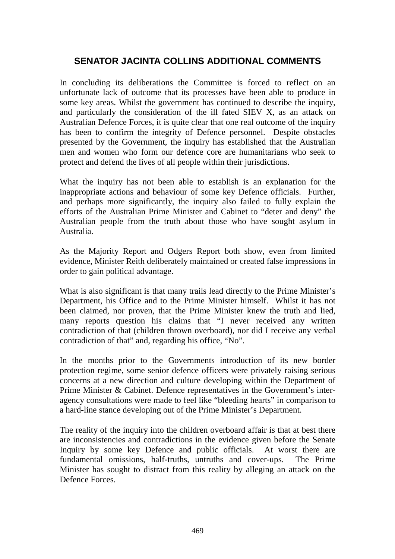# **SENATOR JACINTA COLLINS ADDITIONAL COMMENTS**

In concluding its deliberations the Committee is forced to reflect on an unfortunate lack of outcome that its processes have been able to produce in some key areas. Whilst the government has continued to describe the inquiry, and particularly the consideration of the ill fated SIEV X, as an attack on Australian Defence Forces, it is quite clear that one real outcome of the inquiry has been to confirm the integrity of Defence personnel. Despite obstacles presented by the Government, the inquiry has established that the Australian men and women who form our defence core are humanitarians who seek to protect and defend the lives of all people within their jurisdictions.

What the inquiry has not been able to establish is an explanation for the inappropriate actions and behaviour of some key Defence officials. Further, and perhaps more significantly, the inquiry also failed to fully explain the efforts of the Australian Prime Minister and Cabinet to "deter and deny" the Australian people from the truth about those who have sought asylum in Australia.

As the Majority Report and Odgers Report both show, even from limited evidence, Minister Reith deliberately maintained or created false impressions in order to gain political advantage.

What is also significant is that many trails lead directly to the Prime Minister's Department, his Office and to the Prime Minister himself. Whilst it has not been claimed, nor proven, that the Prime Minister knew the truth and lied, many reports question his claims that "I never received any written contradiction of that (children thrown overboard), nor did I receive any verbal contradiction of that" and, regarding his office, "No".

In the months prior to the Governments introduction of its new border protection regime, some senior defence officers were privately raising serious concerns at a new direction and culture developing within the Department of Prime Minister & Cabinet. Defence representatives in the Government's interagency consultations were made to feel like "bleeding hearts" in comparison to a hard-line stance developing out of the Prime Minister's Department.

The reality of the inquiry into the children overboard affair is that at best there are inconsistencies and contradictions in the evidence given before the Senate Inquiry by some key Defence and public officials. At worst there are fundamental omissions, half-truths, untruths and cover-ups. The Prime Minister has sought to distract from this reality by alleging an attack on the Defence Forces.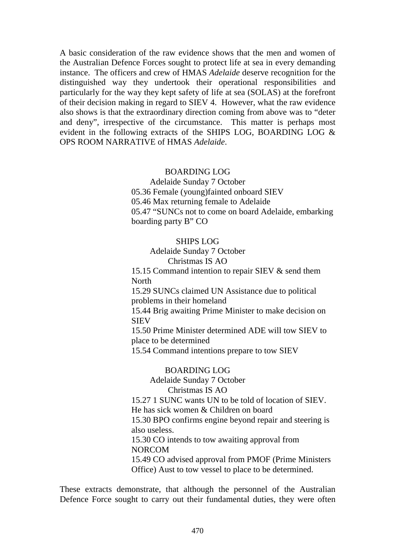A basic consideration of the raw evidence shows that the men and women of the Australian Defence Forces sought to protect life at sea in every demanding instance. The officers and crew of HMAS *Adelaide* deserve recognition for the distinguished way they undertook their operational responsibilities and particularly for the way they kept safety of life at sea (SOLAS) at the forefront of their decision making in regard to SIEV 4. However, what the raw evidence also shows is that the extraordinary direction coming from above was to "deter and deny", irrespective of the circumstance. This matter is perhaps most evident in the following extracts of the SHIPS LOG, BOARDING LOG & OPS ROOM NARRATIVE of HMAS *Adelaide*.

#### BOARDING LOG

Adelaide Sunday 7 October 05.36 Female (young)fainted onboard SIEV 05.46 Max returning female to Adelaide 05.47 "SUNCs not to come on board Adelaide, embarking boarding party B" CO

#### SHIPS LOG

Adelaide Sunday 7 October Christmas IS AO

15.15 Command intention to repair SIEV & send them **North** 

15.29 SUNCs claimed UN Assistance due to political problems in their homeland

15.44 Brig awaiting Prime Minister to make decision on SIEV

15.50 Prime Minister determined ADE will tow SIEV to place to be determined

15.54 Command intentions prepare to tow SIEV

## BOARDING LOG

Adelaide Sunday 7 October Christmas IS AO

15.27 1 SUNC wants UN to be told of location of SIEV.

He has sick women & Children on board

15.30 BPO confirms engine beyond repair and steering is also useless.

15.30 CO intends to tow awaiting approval from NORCOM

15.49 CO advised approval from PMOF (Prime Ministers Office) Aust to tow vessel to place to be determined.

These extracts demonstrate, that although the personnel of the Australian Defence Force sought to carry out their fundamental duties, they were often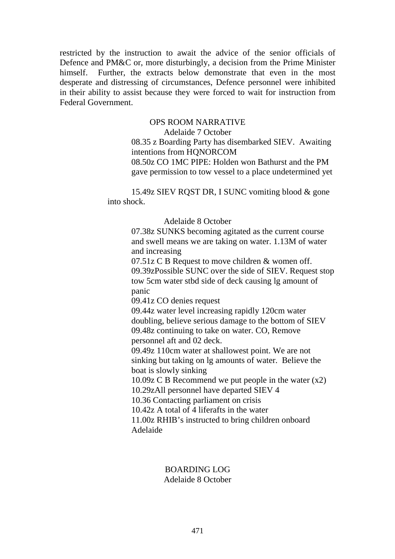restricted by the instruction to await the advice of the senior officials of Defence and PM&C or, more disturbingly, a decision from the Prime Minister himself. Further, the extracts below demonstrate that even in the most desperate and distressing of circumstances, Defence personnel were inhibited in their ability to assist because they were forced to wait for instruction from Federal Government.

# OPS ROOM NARRATIVE

Adelaide 7 October

08.35 z Boarding Party has disembarked SIEV. Awaiting intentions from HQNORCOM

08.50z CO 1MC PIPE: Holden won Bathurst and the PM gave permission to tow vessel to a place undetermined yet

15.49z SIEV RQST DR, I SUNC vomiting blood & gone into shock.

### Adelaide 8 October

07.38z SUNKS becoming agitated as the current course and swell means we are taking on water. 1.13M of water and increasing

07.51z C B Request to move children & women off. 09.39zPossible SUNC over the side of SIEV. Request stop tow 5cm water stbd side of deck causing lg amount of panic

09.41z CO denies request

09.44z water level increasing rapidly 120cm water doubling, believe serious damage to the bottom of SIEV 09.48z continuing to take on water. CO, Remove personnel aft and 02 deck.

09.49z 110cm water at shallowest point. We are not sinking but taking on lg amounts of water. Believe the boat is slowly sinking

10.09z C B Recommend we put people in the water (x2)

10.29zAll personnel have departed SIEV 4

10.36 Contacting parliament on crisis

10.42z A total of 4 liferafts in the water

11.00z RHIB's instructed to bring children onboard Adelaide

### BOARDING LOG Adelaide 8 October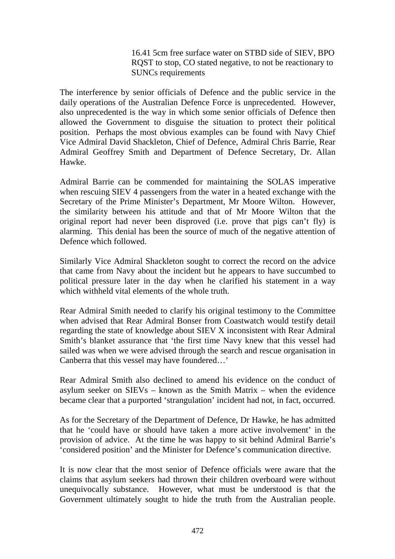16.41 5cm free surface water on STBD side of SIEV, BPO RQST to stop, CO stated negative, to not be reactionary to SUNCs requirements

The interference by senior officials of Defence and the public service in the daily operations of the Australian Defence Force is unprecedented. However, also unprecedented is the way in which some senior officials of Defence then allowed the Government to disguise the situation to protect their political position. Perhaps the most obvious examples can be found with Navy Chief Vice Admiral David Shackleton, Chief of Defence, Admiral Chris Barrie, Rear Admiral Geoffrey Smith and Department of Defence Secretary, Dr. Allan Hawke.

Admiral Barrie can be commended for maintaining the SOLAS imperative when rescuing SIEV 4 passengers from the water in a heated exchange with the Secretary of the Prime Minister's Department, Mr Moore Wilton. However, the similarity between his attitude and that of Mr Moore Wilton that the original report had never been disproved (i.e. prove that pigs can't fly) is alarming. This denial has been the source of much of the negative attention of Defence which followed.

Similarly Vice Admiral Shackleton sought to correct the record on the advice that came from Navy about the incident but he appears to have succumbed to political pressure later in the day when he clarified his statement in a way which withheld vital elements of the whole truth.

Rear Admiral Smith needed to clarify his original testimony to the Committee when advised that Rear Admiral Bonser from Coastwatch would testify detail regarding the state of knowledge about SIEV X inconsistent with Rear Admiral Smith's blanket assurance that 'the first time Navy knew that this vessel had sailed was when we were advised through the search and rescue organisation in Canberra that this vessel may have foundered…'

Rear Admiral Smith also declined to amend his evidence on the conduct of asylum seeker on SIEVs – known as the Smith Matrix – when the evidence became clear that a purported 'strangulation' incident had not, in fact, occurred.

As for the Secretary of the Department of Defence, Dr Hawke, he has admitted that he 'could have or should have taken a more active involvement' in the provision of advice. At the time he was happy to sit behind Admiral Barrie's 'considered position' and the Minister for Defence's communication directive.

It is now clear that the most senior of Defence officials were aware that the claims that asylum seekers had thrown their children overboard were without unequivocally substance. However, what must be understood is that the Government ultimately sought to hide the truth from the Australian people.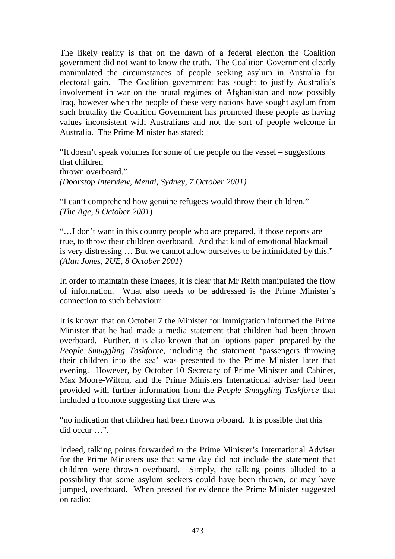The likely reality is that on the dawn of a federal election the Coalition government did not want to know the truth. The Coalition Government clearly manipulated the circumstances of people seeking asylum in Australia for electoral gain. The Coalition government has sought to justify Australia's involvement in war on the brutal regimes of Afghanistan and now possibly Iraq, however when the people of these very nations have sought asylum from such brutality the Coalition Government has promoted these people as having values inconsistent with Australians and not the sort of people welcome in Australia. The Prime Minister has stated:

"It doesn't speak volumes for some of the people on the vessel – suggestions that children thrown overboard." *(Doorstop Interview, Menai, Sydney, 7 October 2001)*

"I can't comprehend how genuine refugees would throw their children." *(The Age, 9 October 2001*)

"…I don't want in this country people who are prepared, if those reports are true, to throw their children overboard. And that kind of emotional blackmail is very distressing … But we cannot allow ourselves to be intimidated by this." *(Alan Jones, 2UE, 8 October 2001)*

In order to maintain these images, it is clear that Mr Reith manipulated the flow of information. What also needs to be addressed is the Prime Minister's connection to such behaviour.

It is known that on October 7 the Minister for Immigration informed the Prime Minister that he had made a media statement that children had been thrown overboard. Further, it is also known that an 'options paper' prepared by the *People Smuggling Taskforce*, including the statement 'passengers throwing their children into the sea' was presented to the Prime Minister later that evening. However, by October 10 Secretary of Prime Minister and Cabinet, Max Moore-Wilton, and the Prime Ministers International adviser had been provided with further information from the *People Smuggling Taskforce* that included a footnote suggesting that there was

"no indication that children had been thrown o/board. It is possible that this did occur …".

Indeed, talking points forwarded to the Prime Minister's International Adviser for the Prime Ministers use that same day did not include the statement that children were thrown overboard. Simply, the talking points alluded to a possibility that some asylum seekers could have been thrown, or may have jumped, overboard. When pressed for evidence the Prime Minister suggested on radio: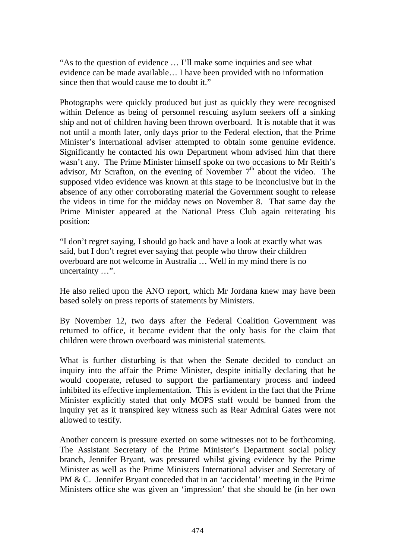"As to the question of evidence … I'll make some inquiries and see what evidence can be made available… I have been provided with no information since then that would cause me to doubt it."

Photographs were quickly produced but just as quickly they were recognised within Defence as being of personnel rescuing asylum seekers off a sinking ship and not of children having been thrown overboard. It is notable that it was not until a month later, only days prior to the Federal election, that the Prime Minister's international adviser attempted to obtain some genuine evidence. Significantly he contacted his own Department whom advised him that there wasn't any. The Prime Minister himself spoke on two occasions to Mr Reith's advisor, Mr Scrafton, on the evening of November  $7<sup>th</sup>$  about the video. The supposed video evidence was known at this stage to be inconclusive but in the absence of any other corroborating material the Government sought to release the videos in time for the midday news on November 8. That same day the Prime Minister appeared at the National Press Club again reiterating his position:

"I don't regret saying, I should go back and have a look at exactly what was said, but I don't regret ever saying that people who throw their children overboard are not welcome in Australia … Well in my mind there is no uncertainty …".

He also relied upon the ANO report, which Mr Jordana knew may have been based solely on press reports of statements by Ministers.

By November 12, two days after the Federal Coalition Government was returned to office, it became evident that the only basis for the claim that children were thrown overboard was ministerial statements.

What is further disturbing is that when the Senate decided to conduct an inquiry into the affair the Prime Minister, despite initially declaring that he would cooperate, refused to support the parliamentary process and indeed inhibited its effective implementation. This is evident in the fact that the Prime Minister explicitly stated that only MOPS staff would be banned from the inquiry yet as it transpired key witness such as Rear Admiral Gates were not allowed to testify.

Another concern is pressure exerted on some witnesses not to be forthcoming. The Assistant Secretary of the Prime Minister's Department social policy branch, Jennifer Bryant, was pressured whilst giving evidence by the Prime Minister as well as the Prime Ministers International adviser and Secretary of PM & C. Jennifer Bryant conceded that in an 'accidental' meeting in the Prime Ministers office she was given an 'impression' that she should be (in her own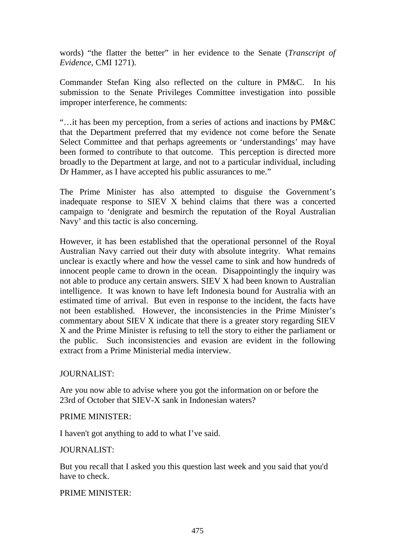words) "the flatter the better" in her evidence to the Senate (*Transcript of Evidence*, CMI 1271).

Commander Stefan King also reflected on the culture in PM&C. In his submission to the Senate Privileges Committee investigation into possible improper interference, he comments:

"…it has been my perception, from a series of actions and inactions by PM&C that the Department preferred that my evidence not come before the Senate Select Committee and that perhaps agreements or 'understandings' may have been formed to contribute to that outcome. This perception is directed more broadly to the Department at large, and not to a particular individual, including Dr Hammer, as I have accepted his public assurances to me."

The Prime Minister has also attempted to disguise the Government's inadequate response to SIEV X behind claims that there was a concerted campaign to 'denigrate and besmirch the reputation of the Royal Australian Navy' and this tactic is also concerning.

However, it has been established that the operational personnel of the Royal Australian Navy carried out their duty with absolute integrity. What remains unclear is exactly where and how the vessel came to sink and how hundreds of innocent people came to drown in the ocean. Disappointingly the inquiry was not able to produce any certain answers. SIEV X had been known to Australian intelligence. It was known to have left Indonesia bound for Australia with an estimated time of arrival. But even in response to the incident, the facts have not been established. However, the inconsistencies in the Prime Minister's commentary about SIEV X indicate that there is a greater story regarding SIEV X and the Prime Minister is refusing to tell the story to either the parliament or the public. Such inconsistencies and evasion are evident in the following extract from a Prime Ministerial media interview.

# JOURNALIST:

Are you now able to advise where you got the information on or before the 23rd of October that SIEV-X sank in Indonesian waters?

# PRIME MINISTER:

I haven't got anything to add to what I've said.

# JOURNALIST:

But you recall that I asked you this question last week and you said that you'd have to check.

# PRIME MINISTER: